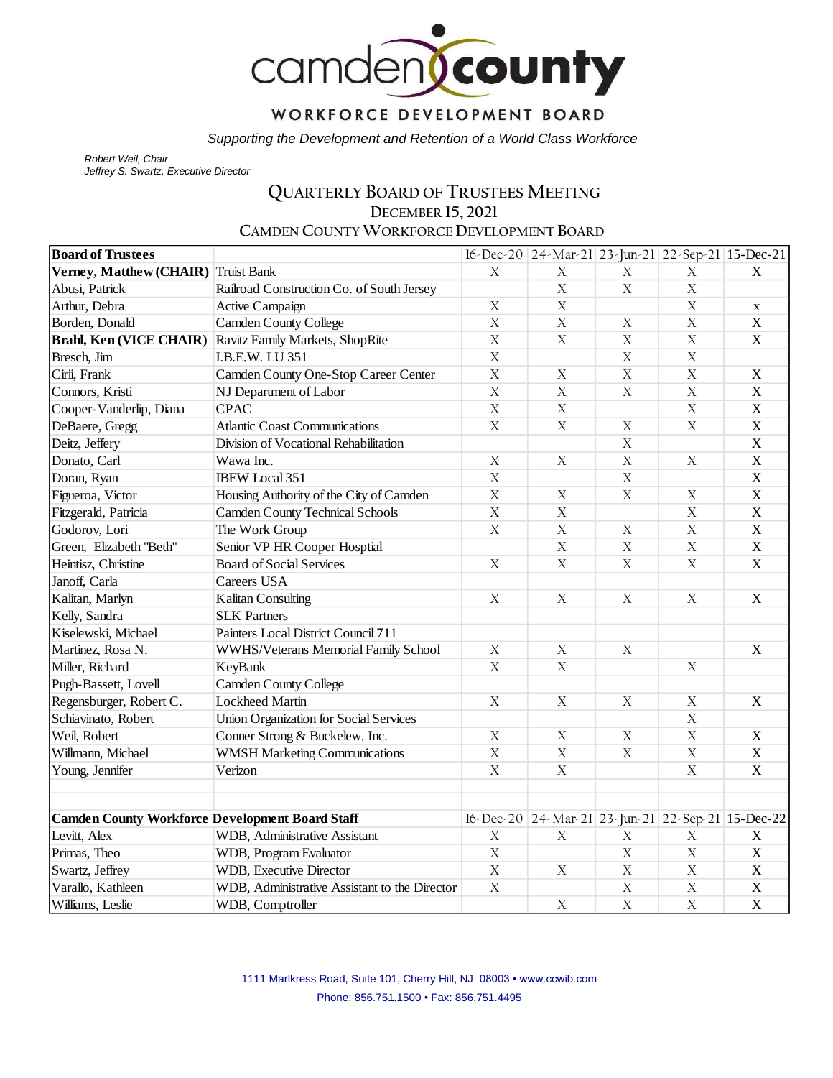

## WORKFORCE DEVELOPMENT BOARD

*Supporting the Development and Retention of a World Class Workforce*

*Robert Weil, Chair Jeffrey S. Swartz, Executive Director* 

# **QUARTERLY BOARD OF TRUSTEES MEETING DECEMBER 15, 2021**

**CAMDEN COUNTY WORKFORCE DEVELOPMENT BOARD**

| <b>Board of Trustees</b>                               |                                               |                           | 16-Dec-20 24-Mar-21 23-Jun-21 22-Sep-21 15-Dec-21 |                  |                |                         |
|--------------------------------------------------------|-----------------------------------------------|---------------------------|---------------------------------------------------|------------------|----------------|-------------------------|
| Verney, Matthew (CHAIR) Truist Bank                    |                                               | X                         | $\boldsymbol{\mathrm{X}}$                         | X                | X              | $\mathbf X$             |
| Abusi, Patrick                                         | Railroad Construction Co. of South Jersey     |                           | $\rm X$                                           | $\mathbf X$      | $\mathbf X$    |                         |
| Arthur, Debra                                          | Active Campaign                               | $\rm X$                   | $\mathbf X$                                       |                  | $\mathbf X$    | $\mathbf X$             |
| Borden, Donald                                         | <b>Camden County College</b>                  | $\bar{X}$                 | $\overline{X}$                                    | X                | $\overline{X}$ | $\mathbf X$             |
| <b>Brahl, Ken (VICE CHAIR)</b>                         | Ravitz Family Markets, ShopRite               | $\overline{X}$            | $\mathbf X$                                       | $\mathbf X$      | $\bar{X}$      | $\mathbf X$             |
| Bresch, Jim                                            | I.B.E.W. LU 351                               | $\mathbf X$               |                                                   | $\mathbf X$      | $\mathbf X$    |                         |
| Cirii, Frank                                           | Camden County One-Stop Career Center          | $\mathbf X$               | $\mathbf X$                                       | $\mathbf X$      | $\mathbf X$    | $\mathbf X$             |
| Connors, Kristi                                        | NJ Department of Labor                        | $\rm X$                   | $\mathbf X$                                       | $\mathbf X$      | $\mathbf X$    | $\mathbf X$             |
| Cooper-Vanderlip, Diana                                | <b>CPAC</b>                                   | $\mathbf X$               | $\mathbf X$                                       |                  | $\mathbf X$    | $\mathbf X$             |
| DeBaere, Gregg                                         | <b>Atlantic Coast Communications</b>          | $\rm X$                   | $\mathbf X$                                       | $\mathbf X$      | $\mathbf X$    | $\mathbf X$             |
| Deitz, Jeffery                                         | Division of Vocational Rehabilitation         |                           |                                                   | $\overline{X}$   |                | $\overline{\mathbf{X}}$ |
| Donato, Carl                                           | Wawa Inc.                                     | $\mathbf X$               | $\mathbf X$                                       | $\bar{X}$        | $\mathbf X$    | $\overline{X}$          |
| Doran, Ryan                                            | <b>IBEW</b> Local 351                         | $\overline{X}$            |                                                   | $\boldsymbol{X}$ |                | $\mathbf X$             |
| Figueroa, Victor                                       | Housing Authority of the City of Camden       | $\overline{X}$            | $\mathbf X$                                       | $\mathbf X$      | $\mathbf X$    | $\overline{X}$          |
| Fitzgerald, Patricia                                   | <b>Camden County Technical Schools</b>        | $\bar{X}$                 | $\rm X$                                           |                  | $\mathbf X$    | $\overline{X}$          |
| Godorov, Lori                                          | The Work Group                                | $\overline{X}$            | $\mathbf X$                                       | $\mathbf X$      | $\mathbf X$    | $\mathbf X$             |
| Green, Elizabeth "Beth"                                | Senior VP HR Cooper Hosptial                  |                           | $\boldsymbol{X}$                                  | $\mathbf X$      | $\mathbf X$    | $\mathbf X$             |
| Heintisz, Christine                                    | <b>Board of Social Services</b>               | $\overline{X}$            | $\overline{X}$                                    | $\boldsymbol{X}$ | $\overline{X}$ | $\mathbf X$             |
| Janoff, Carla                                          | Careers USA                                   |                           |                                                   |                  |                |                         |
| Kalitan, Marlyn                                        | <b>Kalitan Consulting</b>                     | $\boldsymbol{\mathrm{X}}$ | $\mathbf X$                                       | $\mathbf X$      | X              | $\mathbf X$             |
| Kelly, Sandra                                          | <b>SLK Partners</b>                           |                           |                                                   |                  |                |                         |
| Kiselewski, Michael                                    | Painters Local District Council 711           |                           |                                                   |                  |                |                         |
| Martinez, Rosa N.                                      | WWHS/Veterans Memorial Family School          | $\mathbf X$               | $\mathbf X$                                       | $\mathbf X$      |                | $\mathbf X$             |
| Miller, Richard                                        | KeyBank                                       | X                         | X                                                 |                  | $\mathbf X$    |                         |
| Pugh-Bassett, Lovell                                   | <b>Camden County College</b>                  |                           |                                                   |                  |                |                         |
| Regensburger, Robert C.                                | <b>Lockheed Martin</b>                        | $\mathbf X$               | $\mathbf X$                                       | $\boldsymbol{X}$ | $\rm X$        | $\mathbf X$             |
| Schiavinato, Robert                                    | <b>Union Organization for Social Services</b> |                           |                                                   |                  | $\mathbf X$    |                         |
| Weil, Robert                                           | Conner Strong & Buckelew, Inc.                | $\mathbf X$               | $\mathbf X$                                       | $\mathbf X$      | $\mathbf X$    | $\mathbf X$             |
| Willmann, Michael                                      | <b>WMSH Marketing Communications</b>          | $\mathbf X$               | $\mathbf X$                                       | $\mathbf X$      | $\mathbf X$    | $\mathbf X$             |
| Young, Jennifer                                        | Verizon                                       | $\boldsymbol{\mathrm{X}}$ | $\mathbf X$                                       |                  | $\mathbf X$    | $\mathbf X$             |
|                                                        |                                               |                           |                                                   |                  |                |                         |
| <b>Camden County Workforce Development Board Staff</b> |                                               |                           | 16-Dec-20 24-Mar-21 23-Jun-21 22-Sep-21 15-Dec-22 |                  |                |                         |
| Levitt, Alex                                           | WDB, Administrative Assistant                 | $\mathbf X$               | $\boldsymbol{X}$                                  | X                | X              | $\mathbf X$             |
| Primas, Theo                                           | WDB, Program Evaluator                        | $\bar{X}$                 |                                                   | $\mathbf X$      | $\mathbf X$    | $\mathbf X$             |
| Swartz, Jeffrey                                        | WDB, Executive Director                       | $\mathbf X$               | $\mathbf X$                                       | $\mathbf X$      | $\mathbf X$    | $\mathbf X$             |
| Varallo, Kathleen                                      | WDB, Administrative Assistant to the Director | $\overline{X}$            |                                                   | $\mathbf X$      | $\mathbf X$    | $\mathbf X$             |
| Williams, Leslie                                       | WDB, Comptroller                              |                           | $\mathbf X$                                       | $\mathbf X$      | $\mathbf X$    | $\mathbf X$             |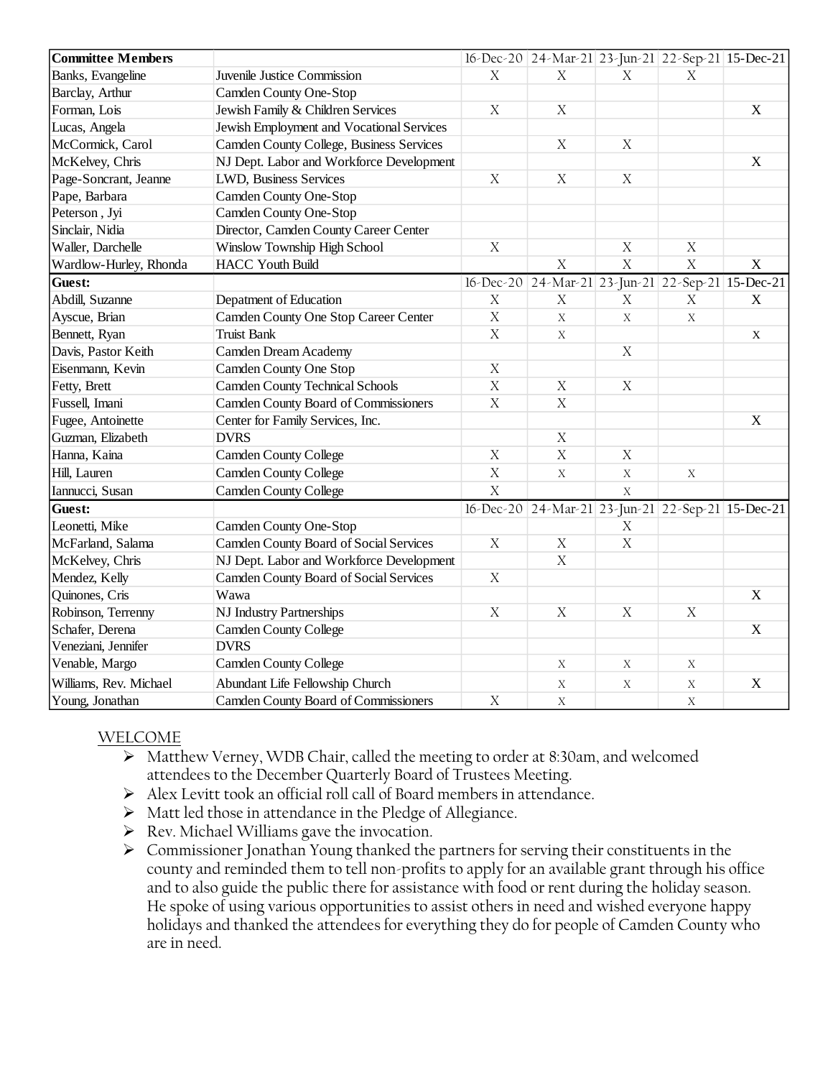| <b>Committee Members</b> |                                           |                  | 16-Dec-20 24-Mar-21 23-Jun-21 22-Sep-21 15-Dec-21 |             |             |                           |
|--------------------------|-------------------------------------------|------------------|---------------------------------------------------|-------------|-------------|---------------------------|
| Banks, Evangeline        | Juvenile Justice Commission               | $\mathbf X$      | X                                                 | X           | X           |                           |
| Barclay, Arthur          | Camden County One-Stop                    |                  |                                                   |             |             |                           |
| Forman, Lois             | Jewish Family & Children Services         | $\mathbf X$      | $\boldsymbol{X}$                                  |             |             | $\boldsymbol{\mathrm{X}}$ |
| Lucas, Angela            | Jewish Employment and Vocational Services |                  |                                                   |             |             |                           |
| McCormick, Carol         | Camden County College, Business Services  |                  | $\boldsymbol{X}$                                  | $\mathbf X$ |             |                           |
| McKelvey, Chris          | NJ Dept. Labor and Workforce Development  |                  |                                                   |             |             | $\mathbf X$               |
| Page-Soncrant, Jeanne    | LWD, Business Services                    | $\mathbf X$      | $\mathbf X$                                       | $\mathbf X$ |             |                           |
| Pape, Barbara            | Camden County One-Stop                    |                  |                                                   |             |             |                           |
| Peterson, Jyi            | Camden County One-Stop                    |                  |                                                   |             |             |                           |
| Sinclair, Nidia          | Director, Camden County Career Center     |                  |                                                   |             |             |                           |
| Waller, Darchelle        | Winslow Township High School              | $\mathbf X$      |                                                   | $\mathbf X$ | $\mathbf X$ |                           |
| Wardlow-Hurley, Rhonda   | <b>HACC Youth Build</b>                   |                  | $\boldsymbol{X}$                                  | $\bar{X}$   | $\mathbf X$ | X                         |
| Guest:                   |                                           |                  | 16-Dec-20 24-Mar-21 23-Jun-21 22-Sep-21 15-Dec-21 |             |             |                           |
| Abdill, Suzanne          | Depatment of Education                    | $\mathbf X$      | $\boldsymbol{X}$                                  | $\mathbf X$ | $\mathbf X$ | $\mathbf X$               |
| Ayscue, Brian            | Camden County One Stop Career Center      | $\boldsymbol{X}$ | $\mathbf X$                                       | X           | X           |                           |
| Bennett, Ryan            | <b>Truist Bank</b>                        | $\mathbf X$      | X                                                 |             |             | X                         |
| Davis, Pastor Keith      | Camden Dream Academy                      |                  |                                                   | $\mathbf X$ |             |                           |
| Eisenmann, Kevin         | Camden County One Stop                    | $\mathbf X$      |                                                   |             |             |                           |
| Fetty, Brett             | <b>Camden County Technical Schools</b>    | $\mathbf X$      | $\mathbf X$                                       | $\mathbf X$ |             |                           |
| Fussell, Imani           | Camden County Board of Commissioners      | $\mathbf X$      | X                                                 |             |             |                           |
| Fugee, Antoinette        | Center for Family Services, Inc.          |                  |                                                   |             |             | $\boldsymbol{\mathrm{X}}$ |
| Guzman, Elizabeth        | <b>DVRS</b>                               |                  | $\boldsymbol{X}$                                  |             |             |                           |
| Hanna, Kaina             | <b>Camden County College</b>              | $\boldsymbol{X}$ | $\mathbf X$                                       | $\mathbf X$ |             |                           |
| Hill, Lauren             | <b>Camden County College</b>              | $\rm X$          | $\mathbf X$                                       | $\rm X$     | X           |                           |
| Iannucci, Susan          | <b>Camden County College</b>              | $\bar{X}$        |                                                   | $\bar{X}$   |             |                           |
| Guest:                   |                                           |                  | 16-Dec-20 24-Mar-21 23-Jun-21 22-Sep-21 15-Dec-21 |             |             |                           |
| Leonetti, Mike           | Camden County One-Stop                    |                  |                                                   | $\mathbf X$ |             |                           |
| McFarland, Salama        | Camden County Board of Social Services    | X                | $\mathbf X$                                       | $\mathbf X$ |             |                           |
| McKelvey, Chris          | NJ Dept. Labor and Workforce Development  |                  | $\mathbf X$                                       |             |             |                           |
| Mendez, Kelly            | Camden County Board of Social Services    | X                |                                                   |             |             |                           |
| Quinones, Cris           | Wawa                                      |                  |                                                   |             |             | $\mathbf X$               |
| Robinson, Terrenny       | NJ Industry Partnerships                  | $\mathbf X$      | $\mathbf X$                                       | $\mathbf X$ | $\mathbf X$ |                           |
| Schafer, Derena          | <b>Camden County College</b>              |                  |                                                   |             |             | $\mathbf X$               |
| Veneziani, Jennifer      | <b>DVRS</b>                               |                  |                                                   |             |             |                           |
| Venable, Margo           | <b>Camden County College</b>              |                  | X                                                 | X           | X           |                           |
| Williams, Rev. Michael   | Abundant Life Fellowship Church           |                  | X                                                 | X           | $\mathbf X$ | X                         |
| Young, Jonathan          | Camden County Board of Commissioners      | $\mathbf X$      | X                                                 |             | $\mathbf X$ |                           |

#### WELCOME

- ➢ Matthew Verney, WDB Chair, called the meeting to order at 8:30am, and welcomed attendees to the December Quarterly Board of Trustees Meeting.
- ➢ Alex Levitt took an official roll call of Board members in attendance.
- ➢ Matt led those in attendance in the Pledge of Allegiance.
- ➢ Rev. Michael Williams gave the invocation.
- ➢ Commissioner Jonathan Young thanked the partners for serving their constituents in the county and reminded them to tell non-profits to apply for an available grant through his office and to also guide the public there for assistance with food or rent during the holiday season. He spoke of using various opportunities to assist others in need and wished everyone happy holidays and thanked the attendees for everything they do for people of Camden County who are in need.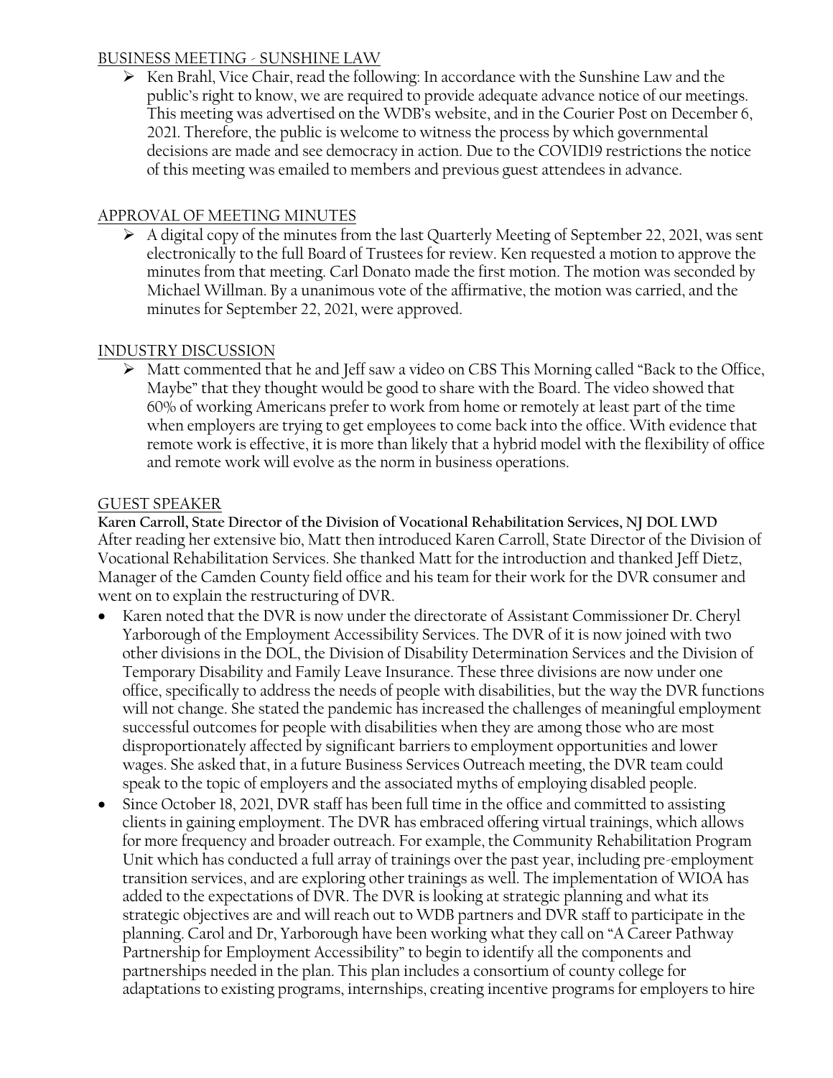#### BUSINESS MEETING - SUNSHINE LAW

➢ Ken Brahl, Vice Chair, read the following: In accordance with the Sunshine Law and the public's right to know, we are required to provide adequate advance notice of our meetings. This meeting was advertised on the WDB's website, and in the Courier Post on December 6, 2021. Therefore, the public is welcome to witness the process by which governmental decisions are made and see democracy in action. Due to the COVID19 restrictions the notice of this meeting was emailed to members and previous guest attendees in advance.

## APPROVAL OF MEETING MINUTES

➢ A digital copy of the minutes from the last Quarterly Meeting of September 22, 2021, was sent electronically to the full Board of Trustees for review. Ken requested a motion to approve the minutes from that meeting. Carl Donato made the first motion. The motion was seconded by Michael Willman. By a unanimous vote of the affirmative, the motion was carried, and the minutes for September 22, 2021, were approved.

## INDUSTRY DISCUSSION

➢ Matt commented that he and Jeff saw a video on CBS This Morning called "Back to the Office, Maybe" that they thought would be good to share with the Board. The video showed that 60% of working Americans prefer to work from home or remotely at least part of the time when employers are trying to get employees to come back into the office. With evidence that remote work is effective, it is more than likely that a hybrid model with the flexibility of office and remote work will evolve as the norm in business operations.

## GUEST SPEAKER

**Karen Carroll, State Director of the Division of Vocational Rehabilitation Services, NJ DOL LWD** After reading her extensive bio, Matt then introduced Karen Carroll, State Director of the Division of Vocational Rehabilitation Services. She thanked Matt for the introduction and thanked Jeff Dietz, Manager of the Camden County field office and his team for their work for the DVR consumer and went on to explain the restructuring of DVR.

- Karen noted that the DVR is now under the directorate of Assistant Commissioner Dr. Cheryl Yarborough of the Employment Accessibility Services. The DVR of it is now joined with two other divisions in the DOL, the Division of Disability Determination Services and the Division of Temporary Disability and Family Leave Insurance. These three divisions are now under one office, specifically to address the needs of people with disabilities, but the way the DVR functions will not change. She stated the pandemic has increased the challenges of meaningful employment successful outcomes for people with disabilities when they are among those who are most disproportionately affected by significant barriers to employment opportunities and lower wages. She asked that, in a future Business Services Outreach meeting, the DVR team could speak to the topic of employers and the associated myths of employing disabled people.
- Since October 18, 2021, DVR staff has been full time in the office and committed to assisting clients in gaining employment. The DVR has embraced offering virtual trainings, which allows for more frequency and broader outreach. For example, the Community Rehabilitation Program Unit which has conducted a full array of trainings over the past year, including pre-employment transition services, and are exploring other trainings as well. The implementation of WIOA has added to the expectations of DVR. The DVR is looking at strategic planning and what its strategic objectives are and will reach out to WDB partners and DVR staff to participate in the planning. Carol and Dr, Yarborough have been working what they call on "A Career Pathway Partnership for Employment Accessibility" to begin to identify all the components and partnerships needed in the plan. This plan includes a consortium of county college for adaptations to existing programs, internships, creating incentive programs for employers to hire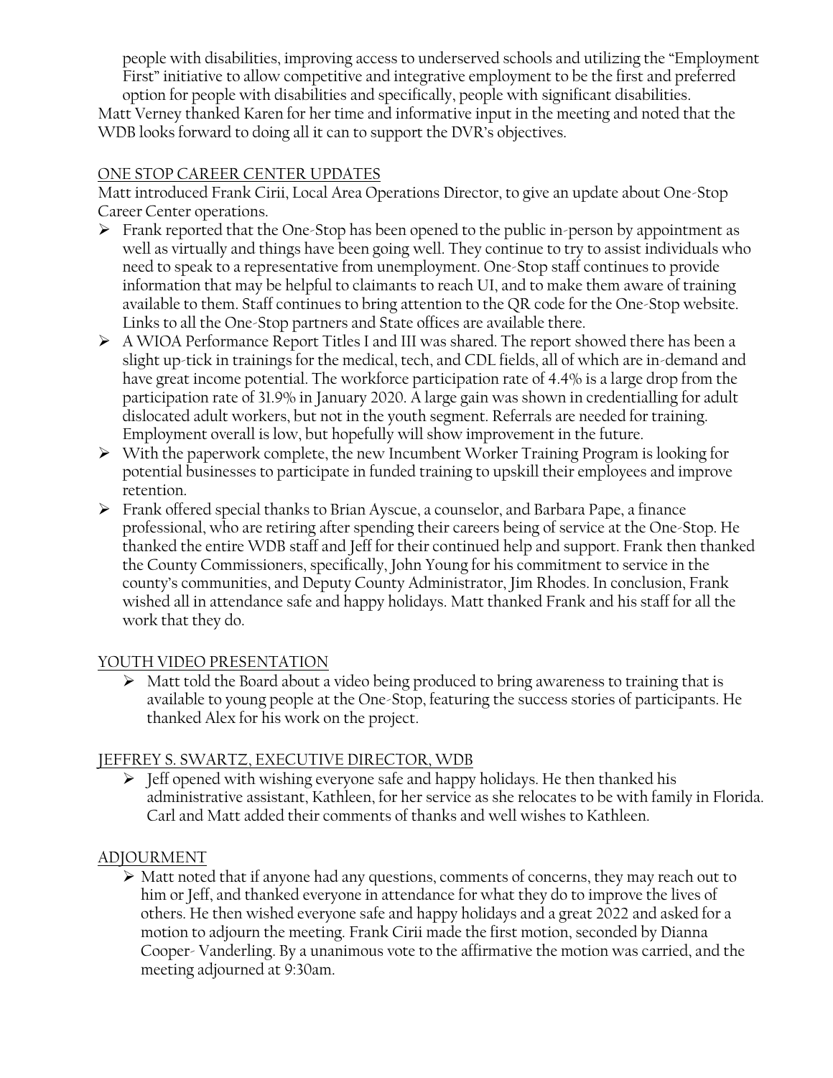people with disabilities, improving access to underserved schools and utilizing the "Employment First" initiative to allow competitive and integrative employment to be the first and preferred option for people with disabilities and specifically, people with significant disabilities.

Matt Verney thanked Karen for her time and informative input in the meeting and noted that the WDB looks forward to doing all it can to support the DVR's objectives.

#### ONE STOP CAREER CENTER UPDATES

Matt introduced Frank Cirii, Local Area Operations Director, to give an update about One-Stop Career Center operations.

- ➢ Frank reported that the One-Stop has been opened to the public in-person by appointment as well as virtually and things have been going well. They continue to try to assist individuals who need to speak to a representative from unemployment. One-Stop staff continues to provide information that may be helpful to claimants to reach UI, and to make them aware of training available to them. Staff continues to bring attention to the QR code for the One-Stop website. Links to all the One-Stop partners and State offices are available there.
- $\triangleright$  A WIOA Performance Report Titles I and III was shared. The report showed there has been a slight up-tick in trainings for the medical, tech, and CDL fields, all of which are in-demand and have great income potential. The workforce participation rate of 4.4% is a large drop from the participation rate of 31.9% in January 2020. A large gain was shown in credentialling for adult dislocated adult workers, but not in the youth segment. Referrals are needed for training. Employment overall is low, but hopefully will show improvement in the future.
- ➢ With the paperwork complete, the new Incumbent Worker Training Program is looking for potential businesses to participate in funded training to upskill their employees and improve retention.
- ➢ Frank offered special thanks to Brian Ayscue, a counselor, and Barbara Pape, a finance professional, who are retiring after spending their careers being of service at the One-Stop. He thanked the entire WDB staff and Jeff for their continued help and support. Frank then thanked the County Commissioners, specifically, John Young for his commitment to service in the county's communities, and Deputy County Administrator, Jim Rhodes. In conclusion, Frank wished all in attendance safe and happy holidays. Matt thanked Frank and his staff for all the work that they do.

## YOUTH VIDEO PRESENTATION

➢ Matt told the Board about a video being produced to bring awareness to training that is available to young people at the One-Stop, featuring the success stories of participants. He thanked Alex for his work on the project.

## JEFFREY S. SWARTZ, EXECUTIVE DIRECTOR, WDB

➢ Jeff opened with wishing everyone safe and happy holidays. He then thanked his administrative assistant, Kathleen, for her service as she relocates to be with family in Florida. Carl and Matt added their comments of thanks and well wishes to Kathleen.

## ADJOURMENT

➢ Matt noted that if anyone had any questions, comments of concerns, they may reach out to him or Jeff, and thanked everyone in attendance for what they do to improve the lives of others. He then wished everyone safe and happy holidays and a great 2022 and asked for a motion to adjourn the meeting. Frank Cirii made the first motion, seconded by Dianna Cooper- Vanderling. By a unanimous vote to the affirmative the motion was carried, and the meeting adjourned at 9:30am.